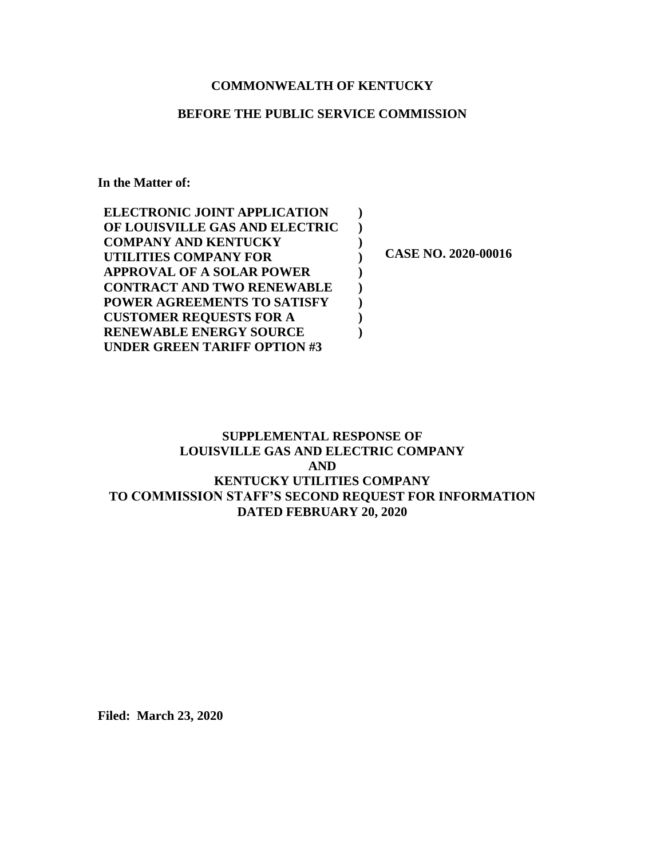# **COMMONWEALTH OF KENTUCKY**

### **BEFORE THE PUBLIC SERVICE COMMISSION**

**In the Matter of:**

| <b>ELECTRONIC JOINT APPLICATION</b> |                     |
|-------------------------------------|---------------------|
| OF LOUISVILLE GAS AND ELECTRIC      |                     |
| <b>COMPANY AND KENTUCKY</b>         |                     |
| UTILITIES COMPANY FOR               | CASE NO. 2020-00016 |
| <b>APPROVAL OF A SOLAR POWER</b>    |                     |
| <b>CONTRACT AND TWO RENEWABLE</b>   |                     |
| <b>POWER AGREEMENTS TO SATISFY</b>  |                     |
| <b>CUSTOMER REQUESTS FOR A</b>      |                     |
| <b>RENEWABLE ENERGY SOURCE</b>      |                     |
| UNDER GREEN TARIFF OPTION #3        |                     |

# **SUPPLEMENTAL RESPONSE OF LOUISVILLE GAS AND ELECTRIC COMPANY AND KENTUCKY UTILITIES COMPANY TO COMMISSION STAFF'S SECOND REQUEST FOR INFORMATION DATED FEBRUARY 20, 2020**

**Filed: March 23, 2020**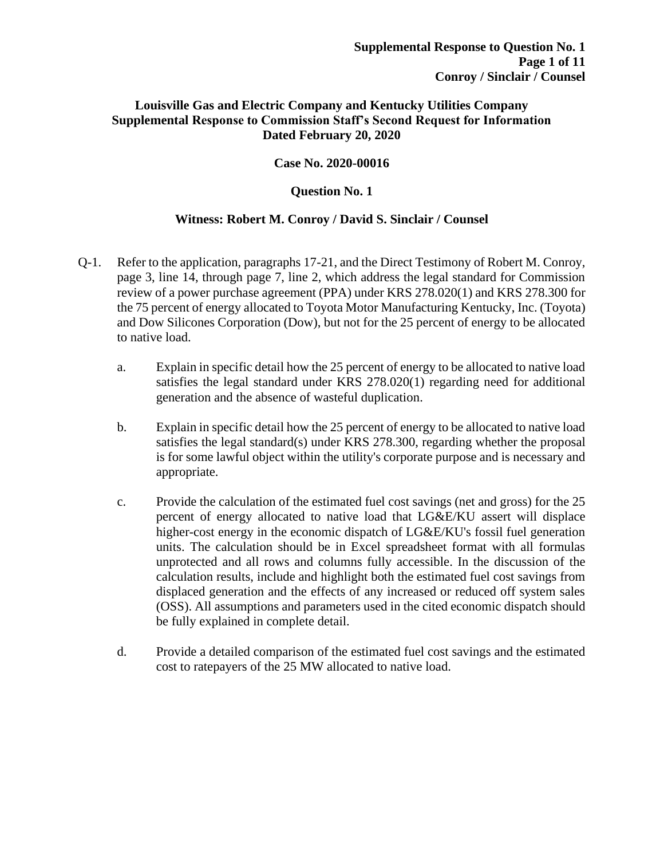# **Louisville Gas and Electric Company and Kentucky Utilities Company Supplemental Response to Commission Staff's Second Request for Information Dated February 20, 2020**

## **Case No. 2020-00016**

### **Question No. 1**

### **Witness: Robert M. Conroy / David S. Sinclair / Counsel**

- Q-1. Refer to the application, paragraphs 17-21, and the Direct Testimony of Robert M. Conroy, page 3, line 14, through page 7, line 2, which address the legal standard for Commission review of a power purchase agreement (PPA) under KRS 278.020(1) and KRS 278.300 for the 75 percent of energy allocated to Toyota Motor Manufacturing Kentucky, Inc. (Toyota) and Dow Silicones Corporation (Dow), but not for the 25 percent of energy to be allocated to native load.
	- a. Explain in specific detail how the 25 percent of energy to be allocated to native load satisfies the legal standard under KRS 278.020(1) regarding need for additional generation and the absence of wasteful duplication.
	- b. Explain in specific detail how the 25 percent of energy to be allocated to native load satisfies the legal standard(s) under KRS 278.300, regarding whether the proposal is for some lawful object within the utility's corporate purpose and is necessary and appropriate.
	- c. Provide the calculation of the estimated fuel cost savings (net and gross) for the 25 percent of energy allocated to native load that LG&E/KU assert will displace higher-cost energy in the economic dispatch of LG&E/KU's fossil fuel generation units. The calculation should be in Excel spreadsheet format with all formulas unprotected and all rows and columns fully accessible. In the discussion of the calculation results, include and highlight both the estimated fuel cost savings from displaced generation and the effects of any increased or reduced off system sales (OSS). All assumptions and parameters used in the cited economic dispatch should be fully explained in complete detail.
	- d. Provide a detailed comparison of the estimated fuel cost savings and the estimated cost to ratepayers of the 25 MW allocated to native load.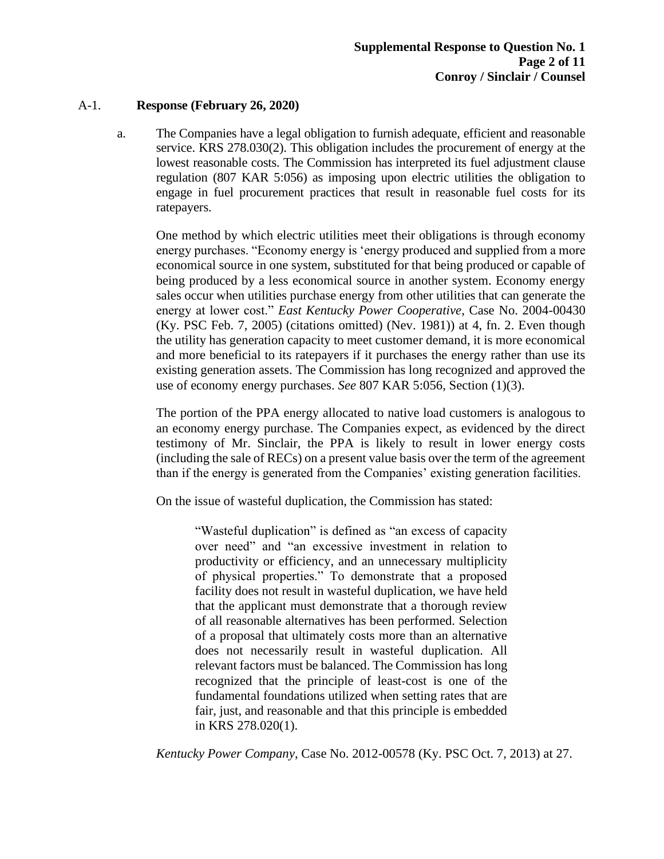### A-1. **Response (February 26, 2020)**

a. The Companies have a legal obligation to furnish adequate, efficient and reasonable service. KRS 278.030(2). This obligation includes the procurement of energy at the lowest reasonable costs. The Commission has interpreted its fuel adjustment clause regulation (807 KAR 5:056) as imposing upon electric utilities the obligation to engage in fuel procurement practices that result in reasonable fuel costs for its ratepayers.

One method by which electric utilities meet their obligations is through economy energy purchases. "Economy energy is 'energy produced and supplied from a more economical source in one system, substituted for that being produced or capable of being produced by a less economical source in another system. Economy energy sales occur when utilities purchase energy from other utilities that can generate the energy at lower cost." *East Kentucky Power Cooperative*, Case No. 2004-00430 (Ky. PSC Feb. 7, 2005) (citations omitted) (Nev. 1981)) at 4, fn. 2. Even though the utility has generation capacity to meet customer demand, it is more economical and more beneficial to its ratepayers if it purchases the energy rather than use its existing generation assets. The Commission has long recognized and approved the use of economy energy purchases. *See* 807 KAR 5:056, Section (1)(3).

The portion of the PPA energy allocated to native load customers is analogous to an economy energy purchase. The Companies expect, as evidenced by the direct testimony of Mr. Sinclair, the PPA is likely to result in lower energy costs (including the sale of RECs) on a present value basis over the term of the agreement than if the energy is generated from the Companies' existing generation facilities.

On the issue of wasteful duplication, the Commission has stated:

"Wasteful duplication" is defined as "an excess of capacity over need" and "an excessive investment in relation to productivity or efficiency, and an unnecessary multiplicity of physical properties." To demonstrate that a proposed facility does not result in wasteful duplication, we have held that the applicant must demonstrate that a thorough review of all reasonable alternatives has been performed. Selection of a proposal that ultimately costs more than an alternative does not necessarily result in wasteful duplication. All relevant factors must be balanced. The Commission has long recognized that the principle of least-cost is one of the fundamental foundations utilized when setting rates that are fair, just, and reasonable and that this principle is embedded in KRS 278.020(1).

*Kentucky Power Company*, Case No. 2012-00578 (Ky. PSC Oct. 7, 2013) at 27.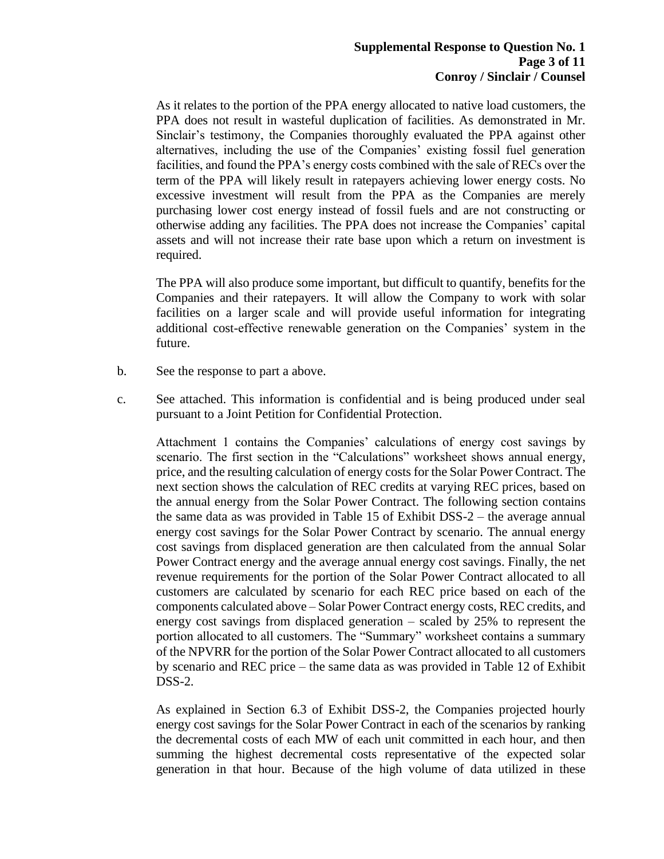As it relates to the portion of the PPA energy allocated to native load customers, the PPA does not result in wasteful duplication of facilities. As demonstrated in Mr. Sinclair's testimony, the Companies thoroughly evaluated the PPA against other alternatives, including the use of the Companies' existing fossil fuel generation facilities, and found the PPA's energy costs combined with the sale of RECs over the term of the PPA will likely result in ratepayers achieving lower energy costs. No excessive investment will result from the PPA as the Companies are merely purchasing lower cost energy instead of fossil fuels and are not constructing or otherwise adding any facilities. The PPA does not increase the Companies' capital assets and will not increase their rate base upon which a return on investment is required.

The PPA will also produce some important, but difficult to quantify, benefits for the Companies and their ratepayers. It will allow the Company to work with solar facilities on a larger scale and will provide useful information for integrating additional cost-effective renewable generation on the Companies' system in the future.

- b. See the response to part a above.
- c. See attached. This information is confidential and is being produced under seal pursuant to a Joint Petition for Confidential Protection.

Attachment 1 contains the Companies' calculations of energy cost savings by scenario. The first section in the "Calculations" worksheet shows annual energy, price, and the resulting calculation of energy costs for the Solar Power Contract. The next section shows the calculation of REC credits at varying REC prices, based on the annual energy from the Solar Power Contract. The following section contains the same data as was provided in Table 15 of Exhibit DSS-2 – the average annual energy cost savings for the Solar Power Contract by scenario. The annual energy cost savings from displaced generation are then calculated from the annual Solar Power Contract energy and the average annual energy cost savings. Finally, the net revenue requirements for the portion of the Solar Power Contract allocated to all customers are calculated by scenario for each REC price based on each of the components calculated above – Solar Power Contract energy costs, REC credits, and energy cost savings from displaced generation – scaled by 25% to represent the portion allocated to all customers. The "Summary" worksheet contains a summary of the NPVRR for the portion of the Solar Power Contract allocated to all customers by scenario and REC price – the same data as was provided in Table 12 of Exhibit DSS-2.

As explained in Section 6.3 of Exhibit DSS-2, the Companies projected hourly energy cost savings for the Solar Power Contract in each of the scenarios by ranking the decremental costs of each MW of each unit committed in each hour, and then summing the highest decremental costs representative of the expected solar generation in that hour. Because of the high volume of data utilized in these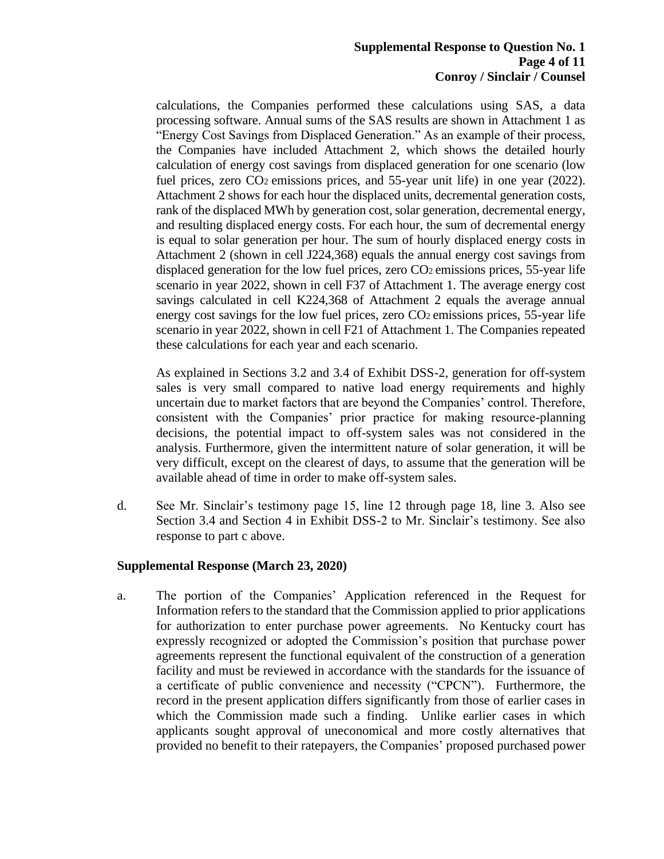### **Supplemental Response to Question No. 1 Page 4 of 11 Conroy / Sinclair / Counsel**

calculations, the Companies performed these calculations using SAS, a data processing software. Annual sums of the SAS results are shown in Attachment 1 as "Energy Cost Savings from Displaced Generation." As an example of their process, the Companies have included Attachment 2, which shows the detailed hourly calculation of energy cost savings from displaced generation for one scenario (low fuel prices, zero CO2 emissions prices, and 55-year unit life) in one year (2022). Attachment 2 shows for each hour the displaced units, decremental generation costs, rank of the displaced MWh by generation cost, solar generation, decremental energy, and resulting displaced energy costs. For each hour, the sum of decremental energy is equal to solar generation per hour. The sum of hourly displaced energy costs in Attachment 2 (shown in cell J224,368) equals the annual energy cost savings from displaced generation for the low fuel prices, zero  $CO<sub>2</sub>$  emissions prices, 55-year life scenario in year 2022, shown in cell F37 of Attachment 1. The average energy cost savings calculated in cell K224,368 of Attachment 2 equals the average annual energy cost savings for the low fuel prices, zero CO2 emissions prices, 55-year life scenario in year 2022, shown in cell F21 of Attachment 1. The Companies repeated these calculations for each year and each scenario.

As explained in Sections 3.2 and 3.4 of Exhibit DSS-2, generation for off-system sales is very small compared to native load energy requirements and highly uncertain due to market factors that are beyond the Companies' control. Therefore, consistent with the Companies' prior practice for making resource-planning decisions, the potential impact to off-system sales was not considered in the analysis. Furthermore, given the intermittent nature of solar generation, it will be very difficult, except on the clearest of days, to assume that the generation will be available ahead of time in order to make off-system sales.

d. See Mr. Sinclair's testimony page 15, line 12 through page 18, line 3. Also see Section 3.4 and Section 4 in Exhibit DSS-2 to Mr. Sinclair's testimony. See also response to part c above.

### **Supplemental Response (March 23, 2020)**

a. The portion of the Companies' Application referenced in the Request for Information refers to the standard that the Commission applied to prior applications for authorization to enter purchase power agreements. No Kentucky court has expressly recognized or adopted the Commission's position that purchase power agreements represent the functional equivalent of the construction of a generation facility and must be reviewed in accordance with the standards for the issuance of a certificate of public convenience and necessity ("CPCN"). Furthermore, the record in the present application differs significantly from those of earlier cases in which the Commission made such a finding. Unlike earlier cases in which applicants sought approval of uneconomical and more costly alternatives that provided no benefit to their ratepayers, the Companies' proposed purchased power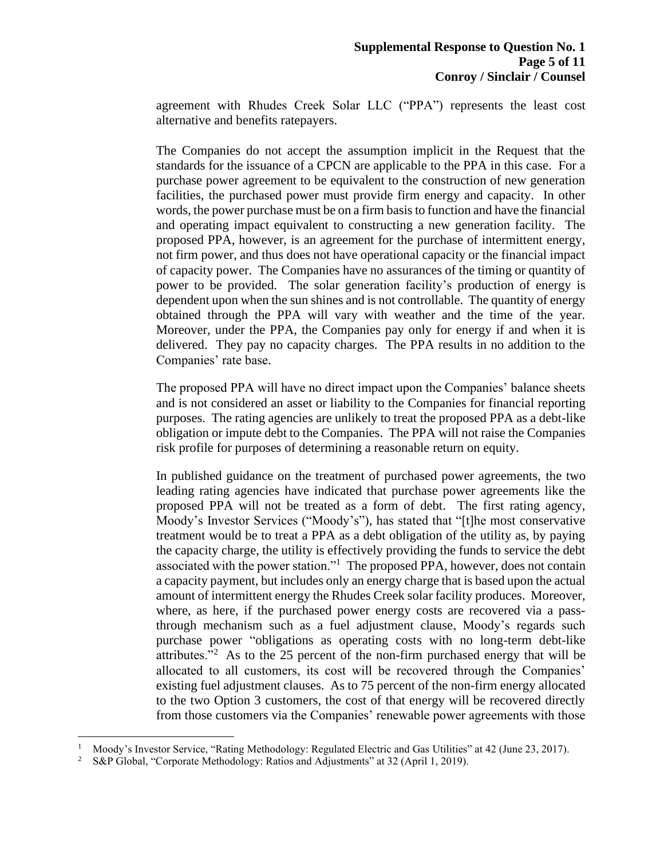agreement with Rhudes Creek Solar LLC ("PPA") represents the least cost alternative and benefits ratepayers.

The Companies do not accept the assumption implicit in the Request that the standards for the issuance of a CPCN are applicable to the PPA in this case. For a purchase power agreement to be equivalent to the construction of new generation facilities, the purchased power must provide firm energy and capacity. In other words, the power purchase must be on a firm basis to function and have the financial and operating impact equivalent to constructing a new generation facility. The proposed PPA, however, is an agreement for the purchase of intermittent energy, not firm power, and thus does not have operational capacity or the financial impact of capacity power. The Companies have no assurances of the timing or quantity of power to be provided. The solar generation facility's production of energy is dependent upon when the sun shines and is not controllable. The quantity of energy obtained through the PPA will vary with weather and the time of the year. Moreover, under the PPA, the Companies pay only for energy if and when it is delivered. They pay no capacity charges. The PPA results in no addition to the Companies' rate base.

The proposed PPA will have no direct impact upon the Companies' balance sheets and is not considered an asset or liability to the Companies for financial reporting purposes. The rating agencies are unlikely to treat the proposed PPA as a debt-like obligation or impute debt to the Companies. The PPA will not raise the Companies risk profile for purposes of determining a reasonable return on equity.

In published guidance on the treatment of purchased power agreements, the two leading rating agencies have indicated that purchase power agreements like the proposed PPA will not be treated as a form of debt. The first rating agency, Moody's Investor Services ("Moody's"), has stated that "[t]he most conservative treatment would be to treat a PPA as a debt obligation of the utility as, by paying the capacity charge, the utility is effectively providing the funds to service the debt associated with the power station."<sup>1</sup> The proposed PPA, however, does not contain a capacity payment, but includes only an energy charge that is based upon the actual amount of intermittent energy the Rhudes Creek solar facility produces. Moreover, where, as here, if the purchased power energy costs are recovered via a passthrough mechanism such as a fuel adjustment clause, Moody's regards such purchase power "obligations as operating costs with no long-term debt-like attributes."<sup>2</sup> As to the 25 percent of the non-firm purchased energy that will be allocated to all customers, its cost will be recovered through the Companies' existing fuel adjustment clauses. As to 75 percent of the non-firm energy allocated to the two Option 3 customers, the cost of that energy will be recovered directly from those customers via the Companies' renewable power agreements with those

<sup>&</sup>lt;sup>1</sup> Moody's Investor Service, "Rating Methodology: Regulated Electric and Gas Utilities" at 42 (June 23, 2017).<br><sup>2</sup> S&P Global "Corporate Methodology: Ratios and Adjustments" at 32 (April 1, 2019)

<sup>2</sup> S&P Global, "Corporate Methodology: Ratios and Adjustments" at 32 (April 1, 2019).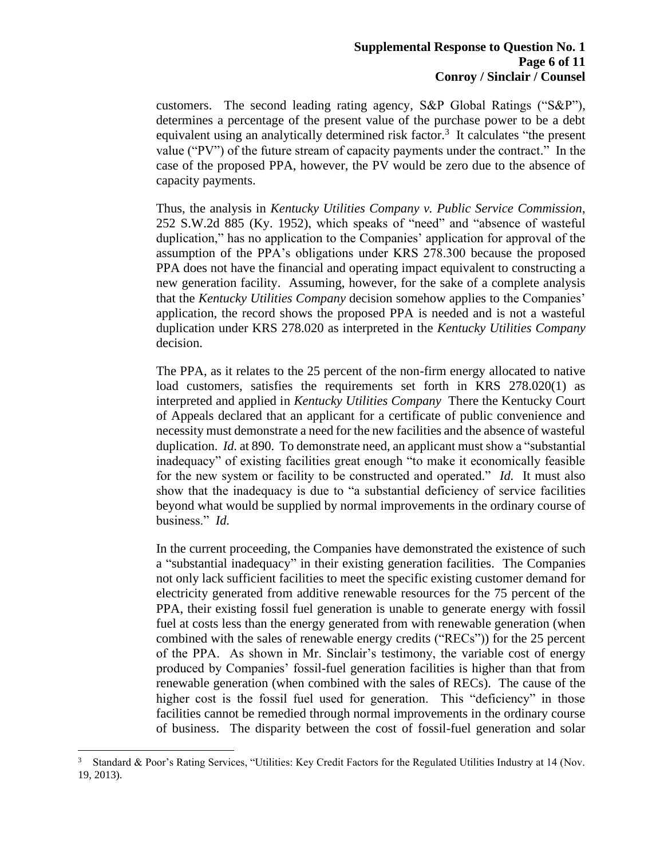customers. The second leading rating agency, S&P Global Ratings ("S&P"), determines a percentage of the present value of the purchase power to be a debt equivalent using an analytically determined risk factor.<sup>3</sup> It calculates "the present value ("PV") of the future stream of capacity payments under the contract." In the case of the proposed PPA, however, the PV would be zero due to the absence of capacity payments.

Thus, the analysis in *Kentucky Utilities Company v. Public Service Commission*, 252 S.W.2d 885 (Ky. 1952), which speaks of "need" and "absence of wasteful duplication," has no application to the Companies' application for approval of the assumption of the PPA's obligations under KRS 278.300 because the proposed PPA does not have the financial and operating impact equivalent to constructing a new generation facility. Assuming, however, for the sake of a complete analysis that the *Kentucky Utilities Company* decision somehow applies to the Companies' application, the record shows the proposed PPA is needed and is not a wasteful duplication under KRS 278.020 as interpreted in the *Kentucky Utilities Company* decision.

The PPA, as it relates to the 25 percent of the non-firm energy allocated to native load customers, satisfies the requirements set forth in KRS 278.020(1) as interpreted and applied in *Kentucky Utilities Company* There the Kentucky Court of Appeals declared that an applicant for a certificate of public convenience and necessity must demonstrate a need for the new facilities and the absence of wasteful duplication. *Id.* at 890. To demonstrate need, an applicant must show a "substantial inadequacy" of existing facilities great enough "to make it economically feasible for the new system or facility to be constructed and operated." *Id.* It must also show that the inadequacy is due to "a substantial deficiency of service facilities beyond what would be supplied by normal improvements in the ordinary course of business." *Id.*

In the current proceeding, the Companies have demonstrated the existence of such a "substantial inadequacy" in their existing generation facilities. The Companies not only lack sufficient facilities to meet the specific existing customer demand for electricity generated from additive renewable resources for the 75 percent of the PPA, their existing fossil fuel generation is unable to generate energy with fossil fuel at costs less than the energy generated from with renewable generation (when combined with the sales of renewable energy credits ("RECs")) for the 25 percent of the PPA. As shown in Mr. Sinclair's testimony, the variable cost of energy produced by Companies' fossil-fuel generation facilities is higher than that from renewable generation (when combined with the sales of RECs). The cause of the higher cost is the fossil fuel used for generation. This "deficiency" in those facilities cannot be remedied through normal improvements in the ordinary course of business. The disparity between the cost of fossil-fuel generation and solar

<sup>3</sup> Standard & Poor's Rating Services, "Utilities: Key Credit Factors for the Regulated Utilities Industry at 14 (Nov. 19, 2013).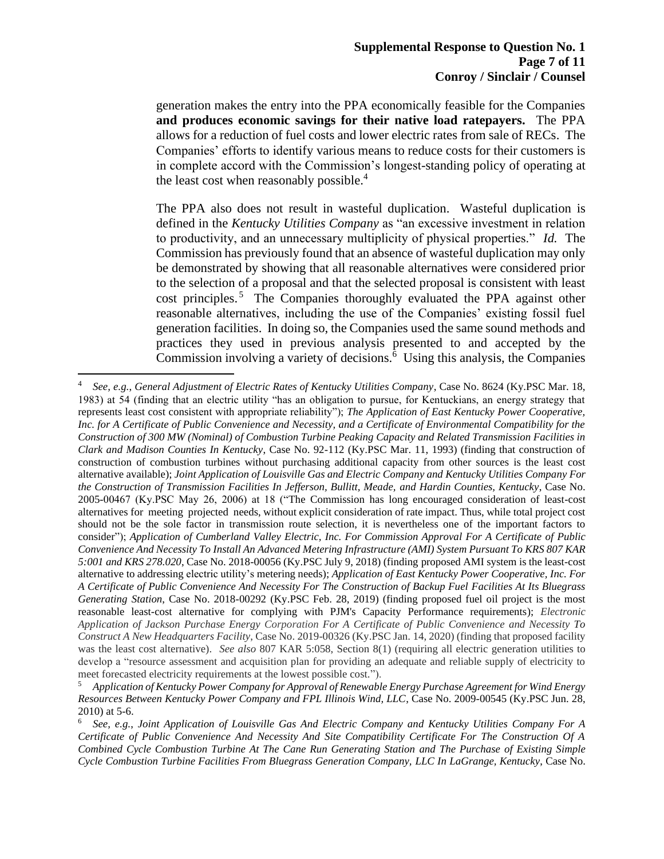generation makes the entry into the PPA economically feasible for the Companies **and produces economic savings for their native load ratepayers.** The PPA allows for a reduction of fuel costs and lower electric rates from sale of RECs. The Companies' efforts to identify various means to reduce costs for their customers is in complete accord with the Commission's longest-standing policy of operating at the least cost when reasonably possible.<sup>4</sup>

The PPA also does not result in wasteful duplication. Wasteful duplication is defined in the *Kentucky Utilities Company* as "an excessive investment in relation to productivity, and an unnecessary multiplicity of physical properties." *Id.* The Commission has previously found that an absence of wasteful duplication may only be demonstrated by showing that all reasonable alternatives were considered prior to the selection of a proposal and that the selected proposal is consistent with least cost principles.<sup>5</sup> The Companies thoroughly evaluated the PPA against other reasonable alternatives, including the use of the Companies' existing fossil fuel generation facilities. In doing so, the Companies used the same sound methods and practices they used in previous analysis presented to and accepted by the Commission involving a variety of decisions.<sup>6</sup> Using this analysis, the Companies

<sup>4</sup> *See, e.g.*, *General Adjustment of Electric Rates of Kentucky Utilities Company*, Case No. 8624 (Ky.PSC Mar. 18, 1983) at 54 (finding that an electric utility "has an obligation to pursue, for Kentuckians, an energy strategy that represents least cost consistent with appropriate reliability"); *The Application of East Kentucky Power Cooperative, Inc. for A Certificate of Public Convenience and Necessity, and a Certificate of Environmental Compatibility for the Construction of 300 MW (Nominal) of Combustion Turbine Peaking Capacity and Related Transmission Facilities in Clark and Madison Counties In Kentucky*, Case No. 92-112 (Ky.PSC Mar. 11, 1993) (finding that construction of construction of combustion turbines without purchasing additional capacity from other sources is the least cost alternative available); *Joint Application of Louisville Gas and Electric Company and Kentucky Utilities Company For the Construction of Transmission Facilities In Jefferson, Bullitt, Meade, and Hardin Counties, Kentucky*, Case No. 2005-00467 (Ky.PSC May 26, 2006) at 18 ("The Commission has long encouraged consideration of least-cost alternatives for meeting projected needs, without explicit consideration of rate impact. Thus, while total project cost should not be the sole factor in transmission route selection, it is nevertheless one of the important factors to consider"); *Application of Cumberland Valley Electric, Inc. For Commission Approval For A Certificate of Public Convenience And Necessity To Install An Advanced Metering Infrastructure (AMI) System Pursuant To KRS 807 KAR 5:001 and KRS 278.020*, Case No. 2018-00056 (Ky.PSC July 9, 2018) (finding proposed AMI system is the least-cost alternative to addressing electric utility's metering needs); *Application of East Kentucky Power Cooperative, Inc. For A Certificate of Public Convenience And Necessity For The Construction of Backup Fuel Facilities At Its Bluegrass Generating Station*, Case No. 2018-00292 (Ky.PSC Feb. 28, 2019) (finding proposed fuel oil project is the most reasonable least-cost alternative for complying with PJM's Capacity Performance requirements); *Electronic Application of Jackson Purchase Energy Corporation For A Certificate of Public Convenience and Necessity To Construct A New Headquarters Facility*, Case No. 2019-00326 (Ky.PSC Jan. 14, 2020) (finding that proposed facility was the least cost alternative). *See also* 807 KAR 5:058, Section 8(1) (requiring all electric generation utilities to develop a "resource assessment and acquisition plan for providing an adequate and reliable supply of electricity to meet forecasted electricity requirements at the lowest possible cost.").

<sup>5</sup> *Application of Kentucky Power Company for Approval of Renewable Energy Purchase Agreement for Wind Energy Resources Between Kentucky Power Company and FPL Illinois Wind, LLC*, Case No. 2009-00545 (Ky.PSC Jun. 28, 2010) at 5-6.

<sup>6</sup> *See, e.g.*, *Joint Application of Louisville Gas And Electric Company and Kentucky Utilities Company For A Certificate of Public Convenience And Necessity And Site Compatibility Certificate For The Construction Of A Combined Cycle Combustion Turbine At The Cane Run Generating Station and The Purchase of Existing Simple Cycle Combustion Turbine Facilities From Bluegrass Generation Company, LLC In LaGrange, Kentucky*, Case No.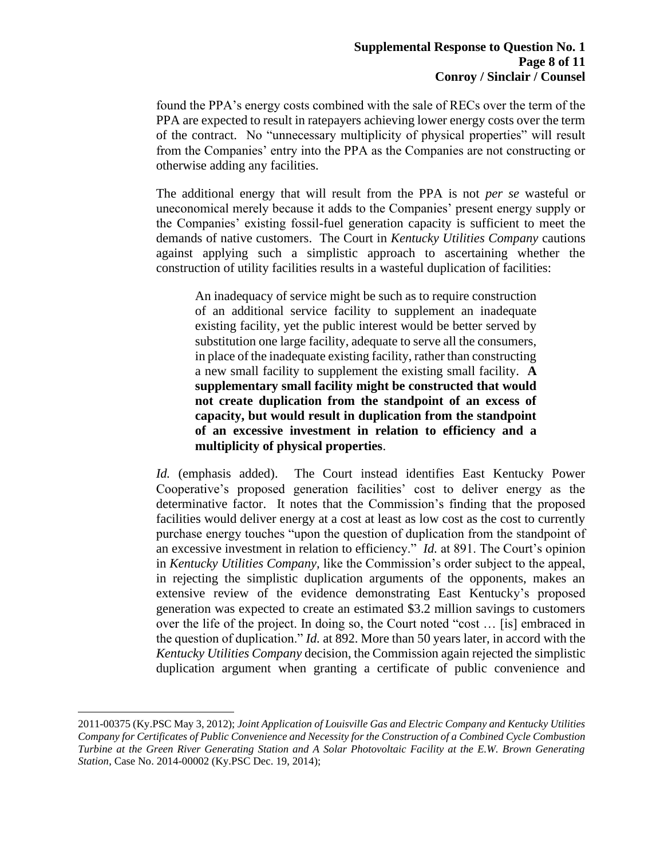found the PPA's energy costs combined with the sale of RECs over the term of the PPA are expected to result in ratepayers achieving lower energy costs over the term of the contract. No "unnecessary multiplicity of physical properties" will result from the Companies' entry into the PPA as the Companies are not constructing or otherwise adding any facilities.

The additional energy that will result from the PPA is not *per se* wasteful or uneconomical merely because it adds to the Companies' present energy supply or the Companies' existing fossil-fuel generation capacity is sufficient to meet the demands of native customers. The Court in *Kentucky Utilities Company* cautions against applying such a simplistic approach to ascertaining whether the construction of utility facilities results in a wasteful duplication of facilities:

An inadequacy of service might be such as to require construction of an additional service facility to supplement an inadequate existing facility, yet the public interest would be better served by substitution one large facility, adequate to serve all the consumers, in place of the inadequate existing facility, rather than constructing a new small facility to supplement the existing small facility. **A supplementary small facility might be constructed that would not create duplication from the standpoint of an excess of capacity, but would result in duplication from the standpoint of an excessive investment in relation to efficiency and a multiplicity of physical properties**.

*Id.* (emphasis added). The Court instead identifies East Kentucky Power Cooperative's proposed generation facilities' cost to deliver energy as the determinative factor. It notes that the Commission's finding that the proposed facilities would deliver energy at a cost at least as low cost as the cost to currently purchase energy touches "upon the question of duplication from the standpoint of an excessive investment in relation to efficiency." *Id.* at 891. The Court's opinion in *Kentucky Utilities Company,* like the Commission's order subject to the appeal, in rejecting the simplistic duplication arguments of the opponents, makes an extensive review of the evidence demonstrating East Kentucky's proposed generation was expected to create an estimated \$3.2 million savings to customers over the life of the project. In doing so, the Court noted "cost … [is] embraced in the question of duplication." *Id.* at 892. More than 50 years later, in accord with the *Kentucky Utilities Company* decision, the Commission again rejected the simplistic duplication argument when granting a certificate of public convenience and

<sup>2011-00375 (</sup>Ky.PSC May 3, 2012); *Joint Application of Louisville Gas and Electric Company and Kentucky Utilities Company for Certificates of Public Convenience and Necessity for the Construction of a Combined Cycle Combustion Turbine at the Green River Generating Station and A Solar Photovoltaic Facility at the E.W. Brown Generating Station*, Case No. 2014-00002 (Ky.PSC Dec. 19, 2014);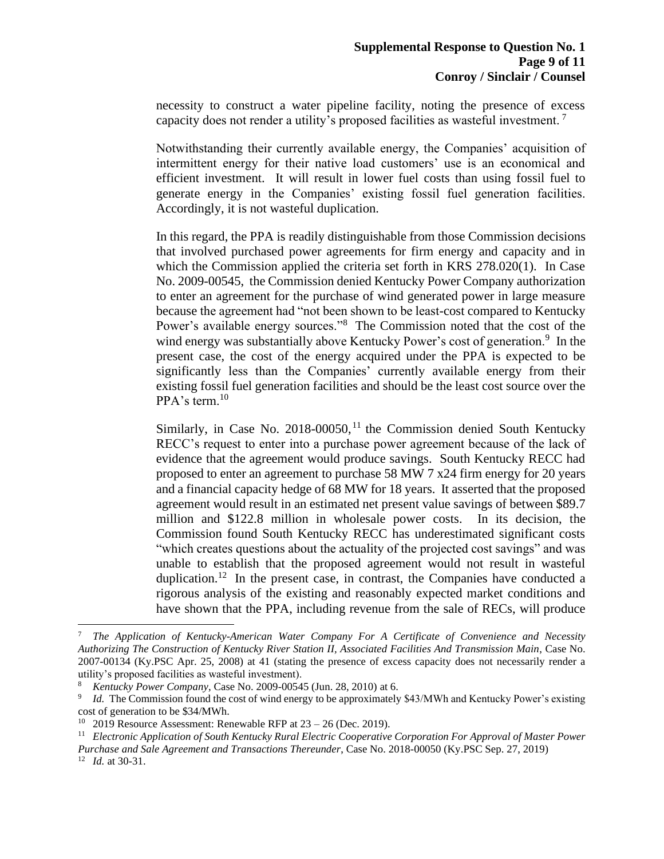necessity to construct a water pipeline facility, noting the presence of excess capacity does not render a utility's proposed facilities as wasteful investment.<sup>7</sup>

Notwithstanding their currently available energy, the Companies' acquisition of intermittent energy for their native load customers' use is an economical and efficient investment. It will result in lower fuel costs than using fossil fuel to generate energy in the Companies' existing fossil fuel generation facilities. Accordingly, it is not wasteful duplication.

In this regard, the PPA is readily distinguishable from those Commission decisions that involved purchased power agreements for firm energy and capacity and in which the Commission applied the criteria set forth in KRS 278.020(1). In Case No. 2009-00545, the Commission denied Kentucky Power Company authorization to enter an agreement for the purchase of wind generated power in large measure because the agreement had "not been shown to be least-cost compared to Kentucky Power's available energy sources."<sup>8</sup> The Commission noted that the cost of the wind energy was substantially above Kentucky Power's cost of generation.<sup>9</sup> In the present case, the cost of the energy acquired under the PPA is expected to be significantly less than the Companies' currently available energy from their existing fossil fuel generation facilities and should be the least cost source over the PPA's term.<sup>10</sup>

Similarly, in Case No.  $2018-00050$ ,<sup>11</sup> the Commission denied South Kentucky RECC's request to enter into a purchase power agreement because of the lack of evidence that the agreement would produce savings. South Kentucky RECC had proposed to enter an agreement to purchase 58 MW 7 x24 firm energy for 20 years and a financial capacity hedge of 68 MW for 18 years. It asserted that the proposed agreement would result in an estimated net present value savings of between \$89.7 million and \$122.8 million in wholesale power costs. In its decision, the Commission found South Kentucky RECC has underestimated significant costs "which creates questions about the actuality of the projected cost savings" and was unable to establish that the proposed agreement would not result in wasteful duplication.<sup>12</sup> In the present case, in contrast, the Companies have conducted a rigorous analysis of the existing and reasonably expected market conditions and have shown that the PPA, including revenue from the sale of RECs, will produce

<sup>7</sup> *The Application of Kentucky-American Water Company For A Certificate of Convenience and Necessity Authorizing The Construction of Kentucky River Station II, Associated Facilities And Transmission Main*, Case No. 2007-00134 (Ky.PSC Apr. 25, 2008) at 41 (stating the presence of excess capacity does not necessarily render a utility's proposed facilities as wasteful investment).

<sup>8</sup> *Kentucky Power Company*, Case No. 2009-00545 (Jun. 28, 2010) at 6.

<sup>9</sup> *Id.* The Commission found the cost of wind energy to be approximately \$43/MWh and Kentucky Power's existing cost of generation to be \$34/MWh.

<sup>&</sup>lt;sup>10</sup> 2019 Resource Assessment: Renewable RFP at  $23 - 26$  (Dec. 2019).

<sup>11</sup> *Electronic Application of South Kentucky Rural Electric Cooperative Corporation For Approval of Master Power Purchase and Sale Agreement and Transactions Thereunder*, Case No. 2018-00050 (Ky.PSC Sep. 27, 2019) <sup>12</sup> *Id.* at 30-31.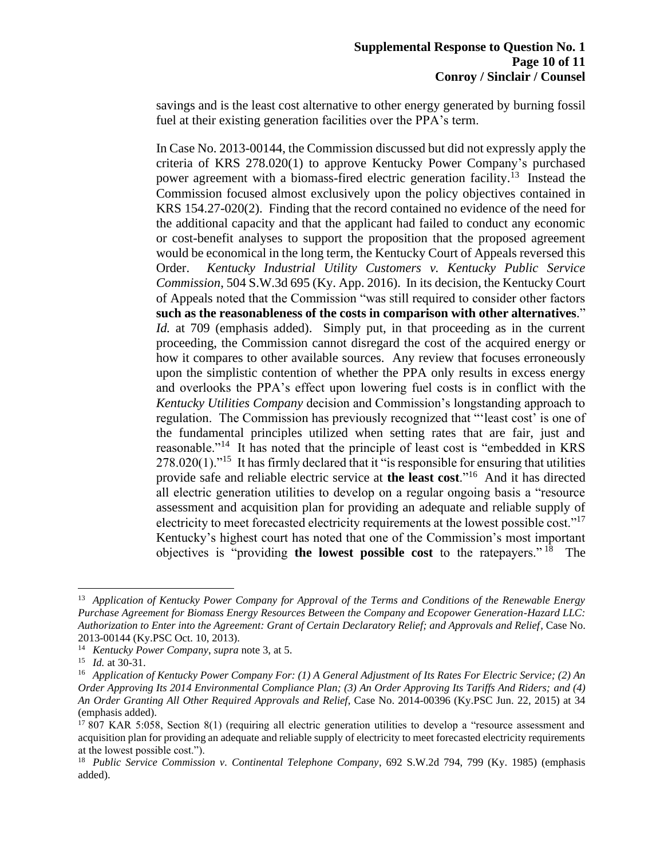savings and is the least cost alternative to other energy generated by burning fossil fuel at their existing generation facilities over the PPA's term.

In Case No. 2013-00144, the Commission discussed but did not expressly apply the criteria of KRS 278.020(1) to approve Kentucky Power Company's purchased power agreement with a biomass-fired electric generation facility.<sup>13</sup> Instead the Commission focused almost exclusively upon the policy objectives contained in KRS 154.27-020(2). Finding that the record contained no evidence of the need for the additional capacity and that the applicant had failed to conduct any economic or cost-benefit analyses to support the proposition that the proposed agreement would be economical in the long term, the Kentucky Court of Appeals reversed this Order. *Kentucky Industrial Utility Customers v. Kentucky Public Service Commission*, 504 S.W.3d 695 (Ky. App. 2016). In its decision, the Kentucky Court of Appeals noted that the Commission "was still required to consider other factors **such as the reasonableness of the costs in comparison with other alternatives**." *Id.* at 709 (emphasis added). Simply put, in that proceeding as in the current proceeding, the Commission cannot disregard the cost of the acquired energy or how it compares to other available sources. Any review that focuses erroneously upon the simplistic contention of whether the PPA only results in excess energy and overlooks the PPA's effect upon lowering fuel costs is in conflict with the *Kentucky Utilities Company* decision and Commission's longstanding approach to regulation. The Commission has previously recognized that "'least cost' is one of the fundamental principles utilized when setting rates that are fair, just and reasonable."<sup>14</sup> It has noted that the principle of least cost is "embedded in KRS  $278.020(1)$ ."<sup>15</sup> It has firmly declared that it "is responsible for ensuring that utilities provide safe and reliable electric service at **the least cost**."<sup>16</sup> And it has directed all electric generation utilities to develop on a regular ongoing basis a "resource assessment and acquisition plan for providing an adequate and reliable supply of electricity to meet forecasted electricity requirements at the lowest possible cost." $17$ Kentucky's highest court has noted that one of the Commission's most important objectives is "providing **the lowest possible cost** to the ratepayers." <sup>18</sup> The

<sup>13</sup> *Application of Kentucky Power Company for Approval of the Terms and Conditions of the Renewable Energy Purchase Agreement for Biomass Energy Resources Between the Company and Ecopower Generation-Hazard LLC: Authorization to Enter into the Agreement: Grant of Certain Declaratory Relief; and Approvals and Relief*, Case No. 2013-00144 (Ky.PSC Oct. 10, 2013).

<sup>14</sup> *Kentucky Power Company*, *supra* note 3, at 5.

<sup>15</sup> *Id.* at 30-31.

<sup>16</sup> *Application of Kentucky Power Company For: (1) A General Adjustment of Its Rates For Electric Service; (2) An Order Approving Its 2014 Environmental Compliance Plan; (3) An Order Approving Its Tariffs And Riders; and (4) An Order Granting All Other Required Approvals and Relief*, Case No. 2014-00396 (Ky.PSC Jun. 22, 2015) at 34 (emphasis added).

<sup>&</sup>lt;sup>17</sup> 807 KAR 5:058, Section 8(1) (requiring all electric generation utilities to develop a "resource assessment and acquisition plan for providing an adequate and reliable supply of electricity to meet forecasted electricity requirements at the lowest possible cost.").

<sup>18</sup> *Public Service Commission v. Continental Telephone Company*, 692 S.W.2d 794, 799 (Ky. 1985) (emphasis added).